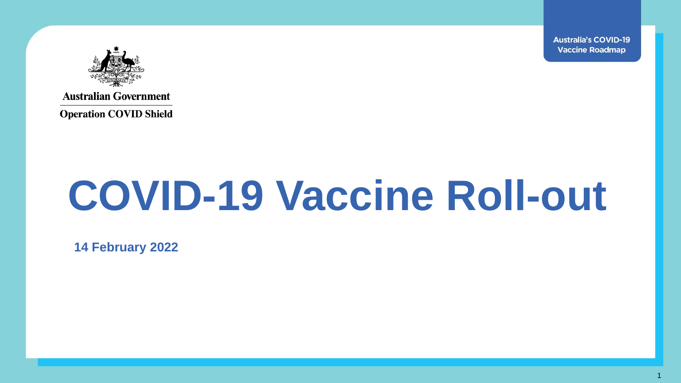**Australia's COVID-19 Vaccine Roadmap** 

1



**Australian Government** 

**Operation COVID Shield** 

# **COVID-19 Vaccine Roll-out**

**14 February 2022**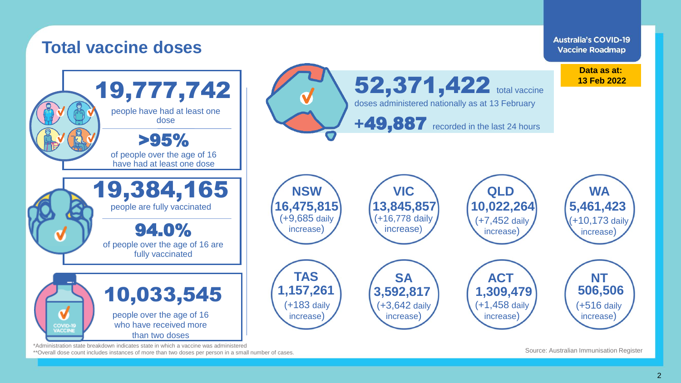

\*Administration state breakdown indicates state in which a vaccine was administered

\*\*Overall dose count includes instances of more than two doses per person in a small number of cases.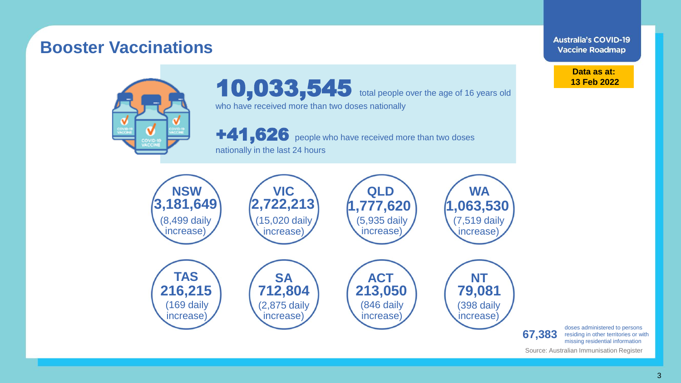#### **Construmental disability doses and disability does a constructed care and disability does and disability does a Booster Vaccinations**

**Australia's COVID-19 Vaccine Roadmap** 

> **Data as at: 13 Feb 2022**

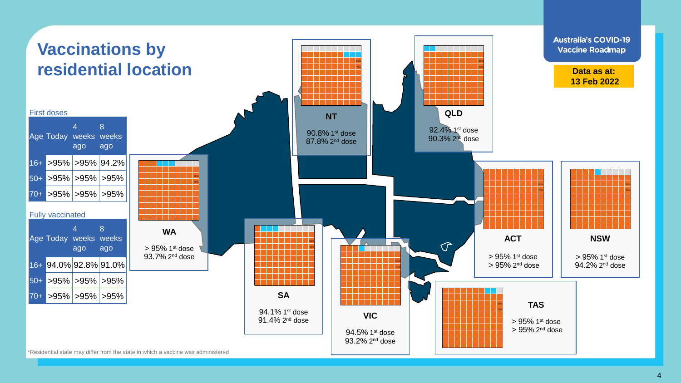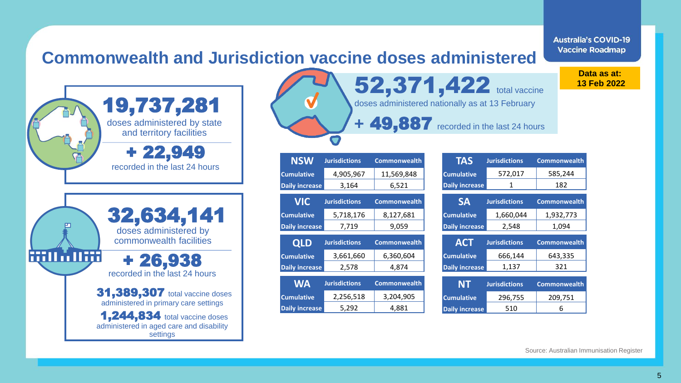**Commonwealth and Jurisdiction vaccine doses administered**

19,737,281doses administered by state and territory facilities + 22,949 recorded in the last 24 hours 32,634,141 doses administered by commonwealth facilities **MIMING** + 26,938 recorded in the last 24 hours **31,389,307** total vaccine doses administered in primary care settings 1,244,834 total vaccine doses administered in aged care and disability settings

52,371,422 total vaccine doses administered nationally as at 13 February **+** 49,887 recorded in the last 24 hours

| <b>NSW</b>            | <b>Jurisdictions</b> | <b>Commonwealth</b> |
|-----------------------|----------------------|---------------------|
| <b>Cumulative</b>     | 4,905,967            | 11,569,848          |
| <b>Daily increase</b> | 3,164                | 6,521               |
| <b>VIC</b>            | <b>Jurisdictions</b> | <b>Commonwealth</b> |
| <b>Cumulative</b>     | 5,718,176            | 8,127,681           |

| <b>OLD</b>            | <b>Jurisdictions</b> | <b>Commonwealth</b> |
|-----------------------|----------------------|---------------------|
| <b>Cumulative</b>     | 3,661,660            | 6,360,604           |
| <b>Daily increase</b> | 2.578                | 4.874               |

**Daily increase** 7,719 9,059

| <b>WA</b>         | <b>Jurisdictions</b> | <b>Commonwealth</b> |
|-------------------|----------------------|---------------------|
| <b>Cumulative</b> | 2,256,518            | 3,204,905           |
| Daily increase    | 5.292                | 4.881               |

**ACT Jurisdictions Commonwealth Cumulative 666,144 643,335 Daily increase** 1,137 321 **SA Jurisdictions Commonwealth Cumulative** 1,660,044 1,932,773 **Daily increase** 2,548 1,094 **TAS Jurisdictions Commonwealth Cumulative** 572,017 585,244 **Daily increase** 1 182

| NT                    | <b>Jurisdictions</b> | <b>Commonwealth</b> |
|-----------------------|----------------------|---------------------|
| <b>Cumulative</b>     | 296,755              | 209.751             |
| <b>Daily increase</b> | 510                  | h                   |

**Vaccine Roadmap Data as at:**

**Australia's COVID-19** 

**13 Feb 2022**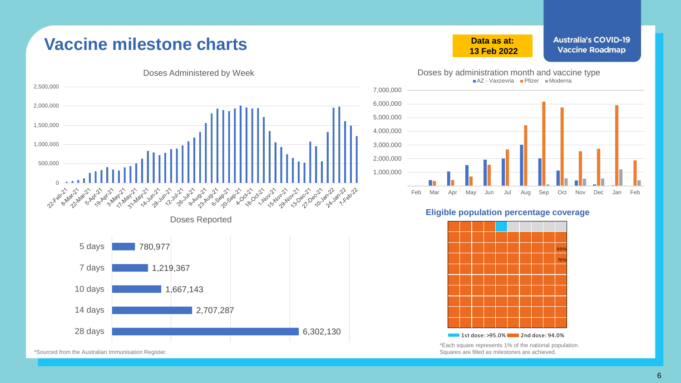## **Vaccine milestone charts**



\*Sourced from the Australian Immunisation Register.

#### **Data as at: 13 Feb 2022**

**Australia's COVID-19 Vaccine Roadmap** 



#### **Eligible population percentage coverage**



\*Each square represents 1% of the national population. Squares are filled as milestones are achieved.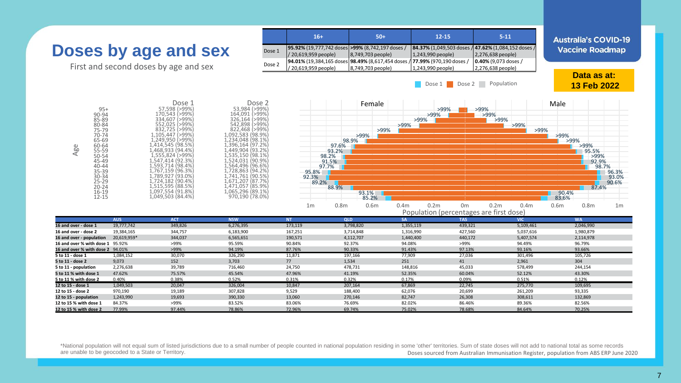

Doses sourced from Australian Immunisation Register, population from ABS ERP June 2020 \*National population will not equal sum of listed jurisdictions due to a small number of people counted in national population residing in some 'other' territories. Sum of state doses will not add to national total as some are unable to be geocoded to a State or Territory.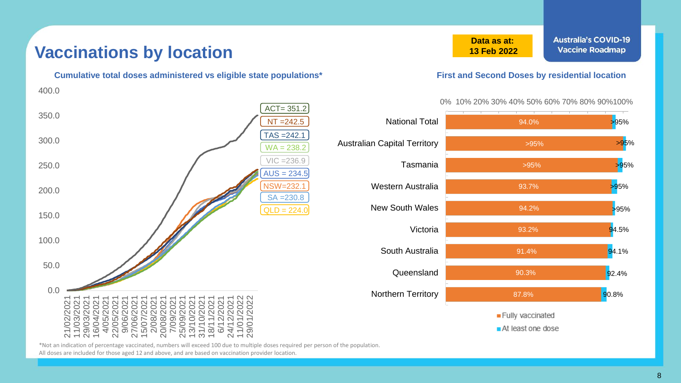### **Vaccinations by location**

 $NT = 242.5$ TAS =242.1 NSW=232.1 VIC =236.9  $AUS = 234.5$ SA =230.8  $WA = 238.2$  $QLD = 224.0$  $ACT = 351.2$  $0.0$ 50.0 100.0 150.0 200.0 250.0 300.0 350.0 400.0 21/02/2021<br>11/03/2021<br>29/03/2021<br>16/04/2021<br>16/05/2021<br>2/06/2021<br>20/08/2021<br>20/08/2021<br>20/08/2021<br>20/02/2021<br>20/02/2021<br>20/02/2021<br>20/02/2021<br>20/02/2021<br>20/02/2021 29/01/2022

**Data as at: 13 Feb 2022**

#### **Cumulative total doses administered vs eligible state populations\* First and Second Doses by residential location**

#### 0% 10% 20% 30% 40% 50% 60% 70% 80% 90%100%



\*Not an indication of percentage vaccinated, numbers will exceed 100 due to multiple doses required per person of the population.

All doses are included for those aged 12 and above, and are based on vaccination provider location.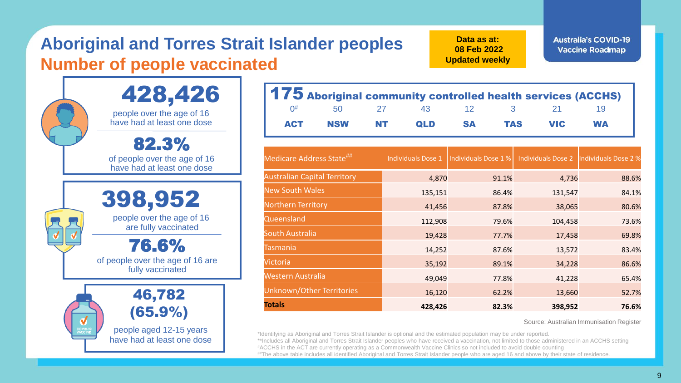# **Aboriginal and Torres Strait Islander peoples Number of people vaccinated**

**Data as at: 08 Feb 2022 Updated weekly** **Australia's COVID-19 Vaccine Roadmap** 

| 428,426                                                 |                                         |
|---------------------------------------------------------|-----------------------------------------|
| people over the age of 16<br>have had at least one dose |                                         |
| 82.3%<br>of people over the age of 16                   | <b>Medic</b>                            |
| have had at least one dose                              | Austra                                  |
|                                                         | <b>New S</b>                            |
| 398,952                                                 | <b>North</b>                            |
| people over the age of 16<br>are fully vaccinated       | Queer                                   |
| 76.6%                                                   | South                                   |
| of people over the age of 16 are                        | Tasma                                   |
| fully vaccinated                                        | Victori                                 |
|                                                         | Weste<br>Unknc                          |
| 46,782                                                  | <b>Totals</b>                           |
| (65.9%)                                                 |                                         |
| people aged 12-15 years<br>have had at least one dose   | *Identifying<br>**Includes<br>#ACCHS in |

|                                      |            |    | 175 Aboriginal community controlled health services (ACCHS) |                      |            |                                          |           |       |
|--------------------------------------|------------|----|-------------------------------------------------------------|----------------------|------------|------------------------------------------|-----------|-------|
| $0^{\#}$                             | 50         | 27 | 43                                                          | 12                   | 3          | 21                                       | 19        |       |
| <b>ACT</b>                           | <b>NSW</b> | NT | QLD                                                         | <b>SA</b>            | <b>TAS</b> | <b>VIC</b>                               | <b>WA</b> |       |
| Medicare Address State <sup>##</sup> |            |    | <b>Individuals Dose 1</b>                                   | Individuals Dose 1 % |            | Individuals Dose 2  Individuals Dose 2 % |           |       |
| <b>Australian Capital Territory</b>  |            |    | 4,870                                                       | 91.1%                |            | 4,736                                    |           | 88.6% |
| <b>New South Wales</b>               |            |    | 135,151                                                     | 86.4%                |            | 131,547                                  |           | 84.1% |
| Northern Territory                   |            |    | 41,456                                                      | 87.8%                |            | 38,065                                   |           | 80.6% |
| Queensland                           |            |    | 112,908                                                     | 79.6%                |            | 104,458                                  |           | 73.6% |
| South Australia                      |            |    | 19,428                                                      | 77.7%                |            | 17,458                                   |           | 69.8% |
| <b>Tasmania</b>                      |            |    | 14,252                                                      | 87.6%                |            | 13,572                                   |           | 83.4% |
| Victoria                             |            |    | 35,192                                                      | 89.1%                |            | 34,228                                   |           | 86.6% |
| <b>Western Australia</b>             |            |    | 49,049                                                      | 77.8%                |            | 41,228                                   |           | 65.4% |
| Unknown/Other Territories            |            |    | 16,120                                                      | 62.2%                |            | 13,660                                   |           | 52.7% |
| <b>Totals</b>                        |            |    | 428,426                                                     | 82.3%                |            | 398,952                                  |           | 76.6% |

Source: Australian Immunisation Register

I as Aboriginal and Torres Strait Islander is optional and the estimated population may be under reported. all Aboriginal and Torres Strait Islander peoples who have received a vaccination, not limited to those administered in an ACCHS setting the ACT are currently operating as a Commonwealth Vaccine Clinics so not included to avoid double counting ##The above table includes all identified Aboriginal and Torres Strait Islander people who are aged 16 and above by their state of residence.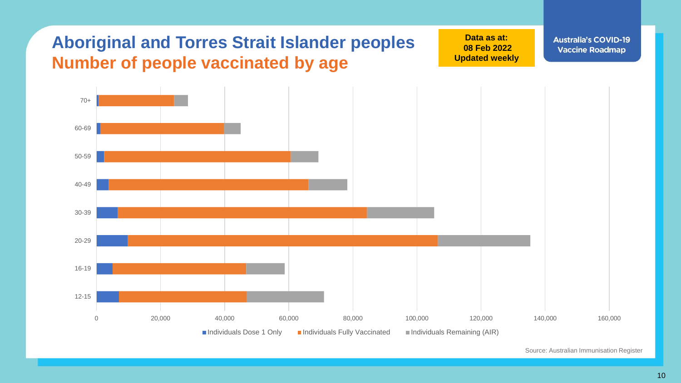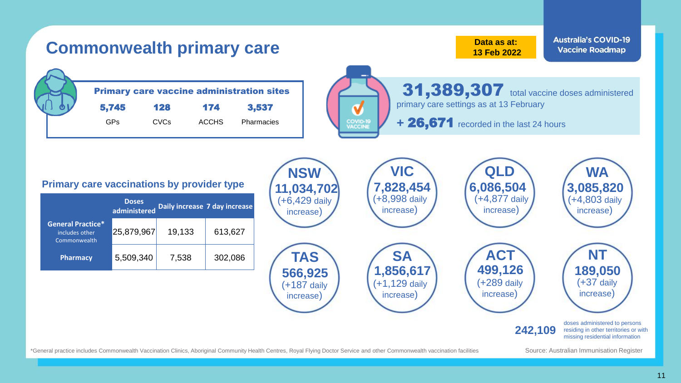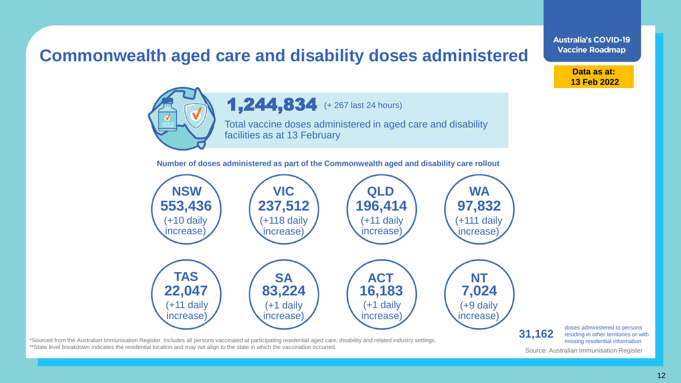## **Commonwealth aged care and disability doses administered**



1,244,834 (+ 267 last 24 hours)

Total vaccine doses administered in aged care and disability facilities as at 13 February

**Number of doses administered as part of the Commonwealth aged and disability care rollout**



\*Sourced from the Australian Immunisation Register. Includes all persons vaccinated at participating residential aged care, disability and related industry settings. \*\*State level breakdown indicates the residential location and may not align to the state in which the vaccination occurred.

doses administered to persons residing in other territories or with missing residential information

**Data as at: 13 Feb 2022**

**Australia's COVID-19 Vaccine Roadmap**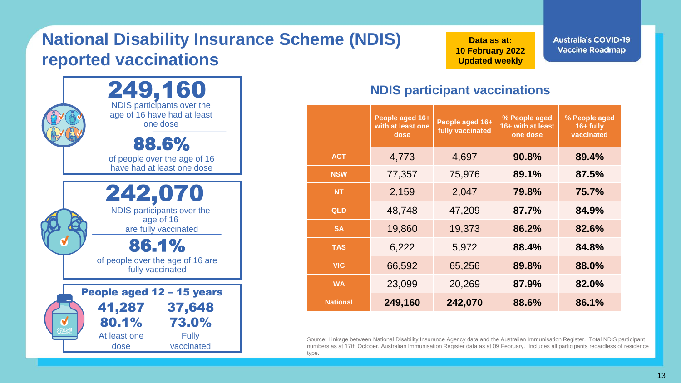# **National Disability Insurance Scheme (NDIS) reported vaccinations**



**Data as at: 10 February 2022 Updated weekly**

**Australia's COVID-19 Vaccine Roadmap** 

#### **NDIS participant vaccinations**

|                 | People aged 16+<br>with at least one<br>dose | People aged 16+<br>fully vaccinated | % People aged<br>16+ with at least<br>one dose | % People aged<br>$16 +$ fully<br>vaccinated |
|-----------------|----------------------------------------------|-------------------------------------|------------------------------------------------|---------------------------------------------|
| <b>ACT</b>      | 4,773                                        | 4,697                               | 90.8%                                          | 89.4%                                       |
| <b>NSW</b>      | 77,357                                       | 75,976                              | 89.1%                                          | 87.5%                                       |
| <b>NT</b>       | 2,159                                        | 2,047                               | 79.8%                                          | 75.7%                                       |
| QLD             | 48,748                                       | 47,209                              | 87.7%                                          | 84.9%                                       |
| <b>SA</b>       | 19,860                                       | 19,373                              | 86.2%                                          | 82.6%                                       |
| <b>TAS</b>      | 6,222                                        | 5,972                               | 88.4%                                          | 84.8%                                       |
| <b>VIC</b>      | 66,592                                       | 65,256                              | 89.8%                                          | 88.0%                                       |
| <b>WA</b>       | 23,099                                       | 20,269                              | 87.9%                                          | 82.0%                                       |
| <b>National</b> | 249,160                                      | 242,070                             | 88.6%                                          | 86.1%                                       |

Source: Linkage between National Disability Insurance Agency data and the Australian Immunisation Register. Total NDIS participant numbers as at 17th October. Australian Immunisation Register data as at 09 February. Includes all participants regardless of residence type.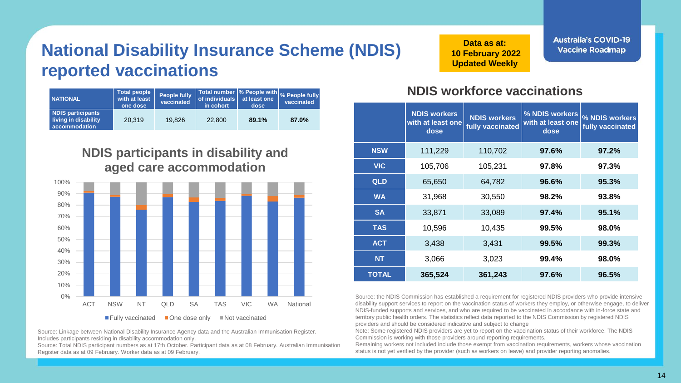# **National Disability Insurance Scheme (NDIS) reported vaccinations**

| <b>NATIONAL</b>                                                   | Total people<br>with at least<br>one dose | <b>People fully</b><br>vaccinated | Total number % People with % People fully<br><b>of individuals</b><br>in cohort | at least one<br>dose | vaccinated |
|-------------------------------------------------------------------|-------------------------------------------|-----------------------------------|---------------------------------------------------------------------------------|----------------------|------------|
| <b>NDIS participants</b><br>living in disability<br>accommodation | 20,319                                    | 19.826                            | 22,800                                                                          | 89.1%                | 87.0%      |

#### **NDIS participants in disability and aged care accommodation**



Source: Linkage between National Disability Insurance Agency data and the Australian Immunisation Register. Includes participants residing in disability accommodation only.

Source: Total NDIS participant numbers as at 17th October. Participant data as at 08 February. Australian Immunisation Register data as at 09 February. Worker data as at 09 February.

**Data as at: 10 February 2022 Updated Weekly** 

**Australia's COVID-19 Vaccine Roadmap** 

#### **NDIS workforce vaccinations**

|            | <b>NDIS workers</b><br>with at least one<br>dose | <b>NDIS workers</b><br>fully vaccinated | % NDIS workers<br>with at least one<br>dose | % NDIS workers<br>fully vaccinated |
|------------|--------------------------------------------------|-----------------------------------------|---------------------------------------------|------------------------------------|
| <b>NSW</b> | 111,229                                          | 110,702                                 | 97.6%                                       | 97.2%                              |
| <b>VIC</b> | 105,706                                          | 105,231                                 | 97.8%                                       | 97.3%                              |
| QLD        | 65,650                                           | 64,782                                  | 96.6%                                       | 95.3%                              |
| <b>WA</b>  | 31,968                                           | 30,550                                  | 98.2%                                       | 93.8%                              |
| <b>SA</b>  | 33,871                                           | 33,089                                  | 97.4%                                       | 95.1%                              |
| <b>TAS</b> | 10,596                                           | 10,435                                  | 99.5%                                       | 98.0%                              |
| <b>ACT</b> | 3,438                                            | 3,431                                   | 99.5%                                       | 99.3%                              |
| <b>NT</b>  | 3,066                                            | 3,023                                   | 99.4%                                       | 98.0%                              |
| TOTAL      | 365,524                                          | 361,243                                 | 97.6%                                       | 96.5%                              |

Source: the NDIS Commission has established a requirement for registered NDIS providers who provide intensive disability support services to report on the vaccination status of workers they employ, or otherwise engage, to deliver NDIS-funded supports and services, and who are required to be vaccinated in accordance with in-force state and territory public health orders. The statistics reflect data reported to the NDIS Commission by registered NDIS providers and should be considered indicative and subject to change

Note: Some registered NDIS providers are yet to report on the vaccination status of their workforce. The NDIS Commission is working with those providers around reporting requirements.

Remaining workers not included include those exempt from vaccination requirements, workers whose vaccination status is not yet verified by the provider (such as workers on leave) and provider reporting anomalies.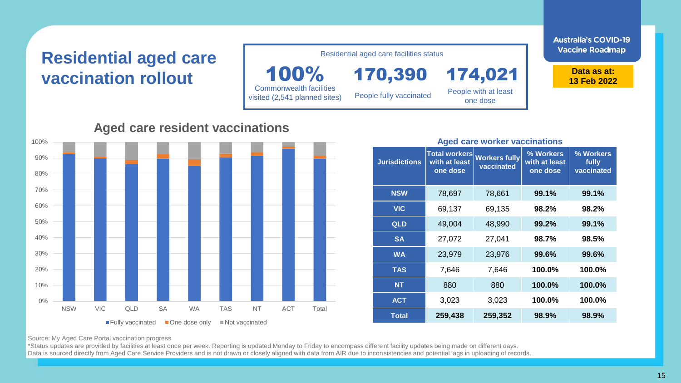# **Residential aged care vaccination rollout**

100% Commonwealth facilities visited (2,541 planned sites)

170,390 People fully vaccinated

Residential aged care facilities status

People with at least one dose

174,021

**Australia's COVID-19 Vaccine Roadmap** 

> **Data as at: 13 Feb 2022**

#### 0% 10% 20% 30% 40% 50% 60% 70% 80% 90% 100% NSW VIC QLD SA WA TAS NT ACT Total **Aged care resident vaccinations**  $\blacksquare$  Fully vaccinated  $\blacksquare$  One dose only  $\blacksquare$  Not vaccinated

#### **Jurisdictions Total workers with at least one dose Workers fully vaccinated % Workers with at least one dose % Workers fully vaccinated NSW** 78,697 78,661 **99.1% 99.1% VIC** 69,137 69,135 **98.2% 98.2% QLD** 49,004 48,990 **99.2% 99.1% SA** 27,072 27,041 **98.7% 98.5% WA** 23,979 23,976 **99.6% 99.6% TAS** 7,646 7,646 **100.0% 100.0% NT** 880 880 **100.0% 100.0% ACT** 3,023 3,023 **100.0% 100.0%**

**Aged care worker vaccinations**

**Total 259,438 259,352 98.9% 98.9%**

Source: My Aged Care Portal vaccination progress

\*Status updates are provided by facilities at least once per week. Reporting is updated Monday to Friday to encompass different facility updates being made on different days. Data is sourced directly from Aged Care Service Providers and is not drawn or closely aligned with data from AIR due to inconsistencies and potential lags in uploading of records.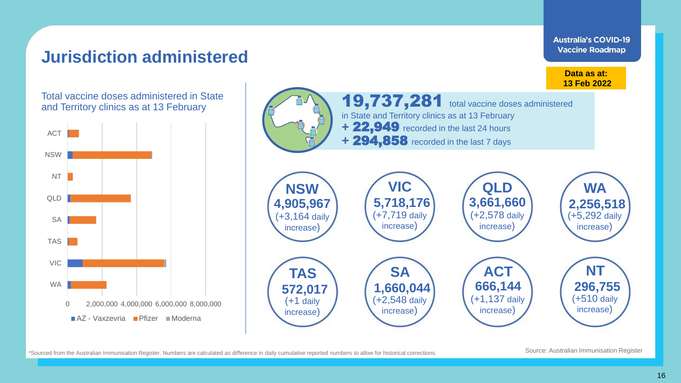### **Jurisdiction administered**

**Australia's COVID-19 Vaccine Roadmap** 

Total vaccine doses administered in State





\*Sourced from the Australian Immunisation Register. Numbers are calculated as difference in daily cumulative reported numbers to allow for historical corrections.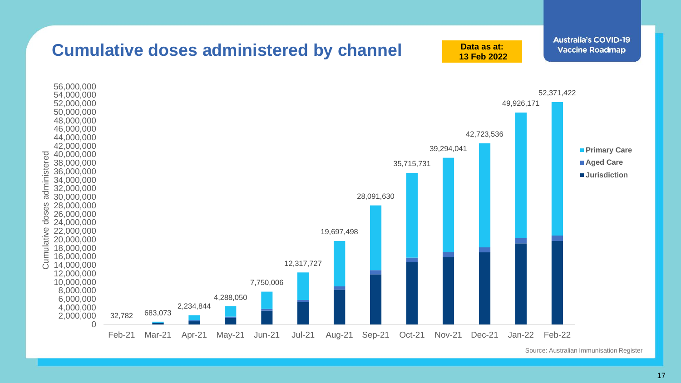

Source: Australian Immunisation Register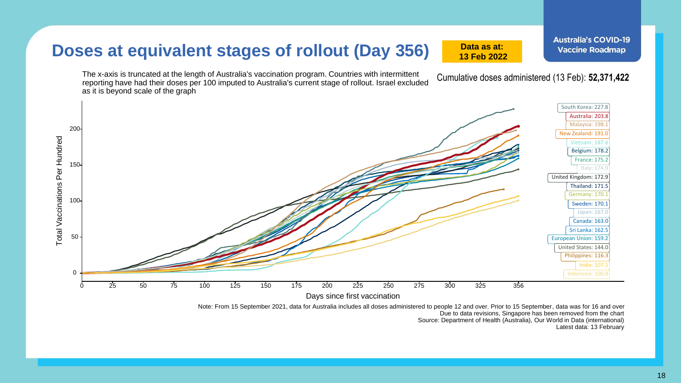### **Doses at equivalent stages of rollout (Day 356)**

The x-axis is truncated at the length of Australia's vaccination program. Countries with intermittent reporting have had their doses per 100 imputed to Australia's current stage of rollout. Israel excluded as it is beyond scale of the graph



**Australia's COVID-19** 

Latest data: 13 February

Cumulative doses administered (13 Feb): **52,371,422**

Due to data revisions, Singapore has been removed from the chart Source: Department of Health (Australia), Our World in Data (international)

**Data as at: 13 Feb 2022**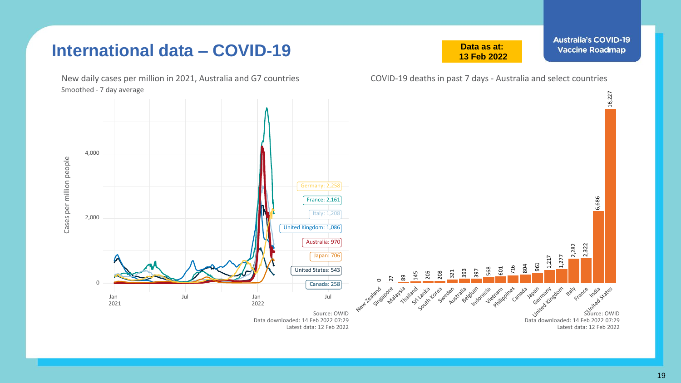### **International data – COVID-19**

**Data as at: 13 Feb 2022** **Australia's COVID-19 Vaccine Roadmap** 

Smoothed - 7 day average New daily cases per million in 2021, Australia and G7 countries COVID-19 deaths in past 7 days - Australia and select countries

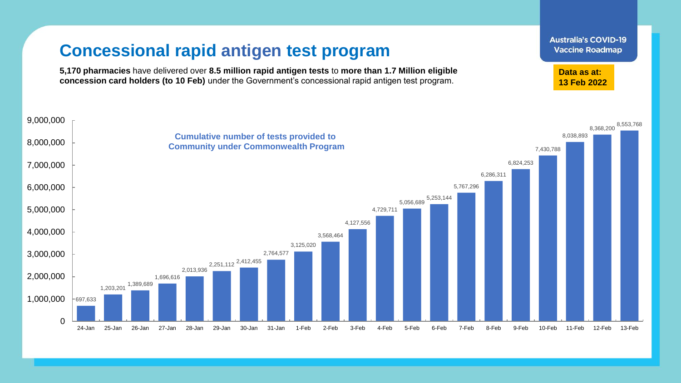## **Concessional rapid antigen test program**

**5,170 pharmacies** have delivered over **8.5 million rapid antigen tests** to **more than 1.7 Million eligible concession card holders (to 10 Feb)** under the Government's concessional rapid antigen test program.



**Australia's COVID-19 Vaccine Roadmap** 

**Data as at: 13 Feb 2022**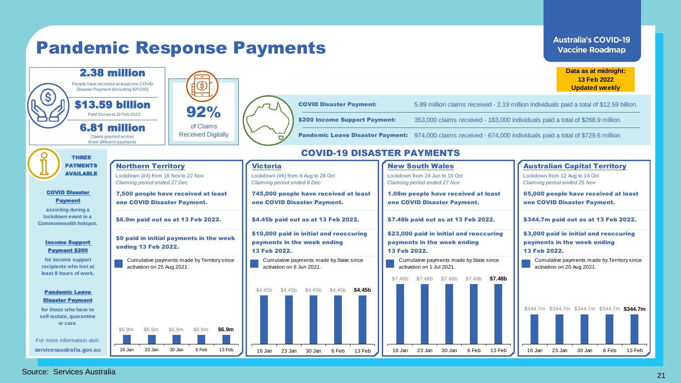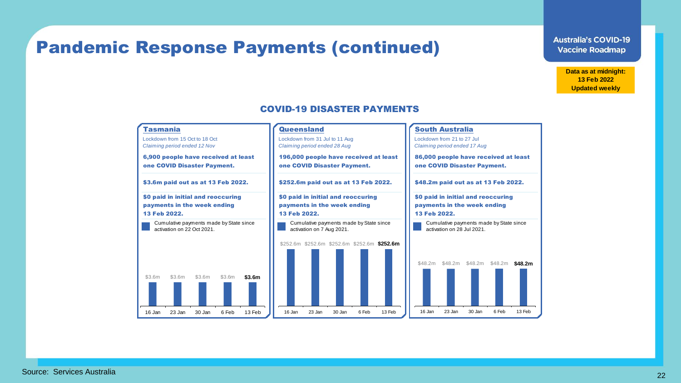## Pandemic Response Payments (continued)

CEASED COVID-19 DISASTER PAYMENTS

**Data as at midnight: 13 Feb 2022 Updated weekly**



#### COVID-19 DISASTER PAYMENTS